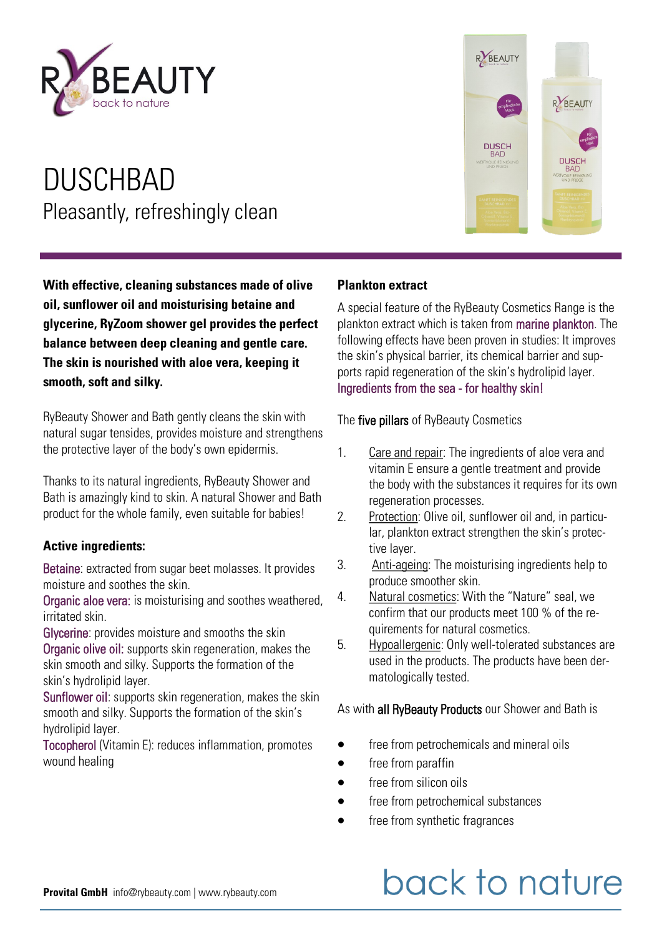

# DUSCHBAD Pleasantly, refreshingly clean

**With effective, cleaning substances made of olive oil, sunflower oil and moisturising betaine and glycerine, RyZoom shower gel provides the perfect balance between deep cleaning and gentle care. The skin is nourished with aloe vera, keeping it smooth, soft and silky.** 

RyBeauty Shower and Bath gently cleans the skin with natural sugar tensides, provides moisture and strengthens the protective layer of the body's own epidermis.

Thanks to its natural ingredients, RyBeauty Shower and Bath is amazingly kind to skin. A natural Shower and Bath product for the whole family, even suitable for babies!

## **Active ingredients:**

Betaine: extracted from sugar beet molasses. It provides moisture and soothes the skin.

Organic aloe vera: is moisturising and soothes weathered, irritated skin.

Glycerine: provides moisture and smooths the skin Organic olive oil: supports skin regeneration, makes the skin smooth and silky. Supports the formation of the skin's hydrolipid layer.

Sunflower oil: supports skin regeneration, makes the skin smooth and silky. Supports the formation of the skin's hydrolipid layer.

Tocopherol (Vitamin E): reduces inflammation, promotes wound healing



#### **Plankton extract**

A special feature of the RyBeauty Cosmetics Range is the plankton extract which is taken from marine plankton. The following effects have been proven in studies: It improves the skin's physical barrier, its chemical barrier and supports rapid regeneration of the skin's hydrolipid layer. Ingredients from the sea - for healthy skin!

The five pillars of RyBeauty Cosmetics

- 1. Care and repair: The ingredients of aloe vera and vitamin E ensure a gentle treatment and provide the body with the substances it requires for its own regeneration processes.
- 2. Protection: Olive oil, sunflower oil and, in particular, plankton extract strengthen the skin's protective layer.
- 3. Anti-ageing: The moisturising ingredients help to produce smoother skin.
- 4. Natural cosmetics: With the "Nature" seal, we confirm that our products meet 100 % of the requirements for natural cosmetics.
- 5. Hypoallergenic: Only well-tolerated substances are used in the products. The products have been dermatologically tested.

## As with all RyBeauty Products our Shower and Bath is

- free from petrochemicals and mineral oils
- free from paraffin
- **•** free from silicon oils
- free from petrochemical substances
- free from synthetic fragrances

# back to nature